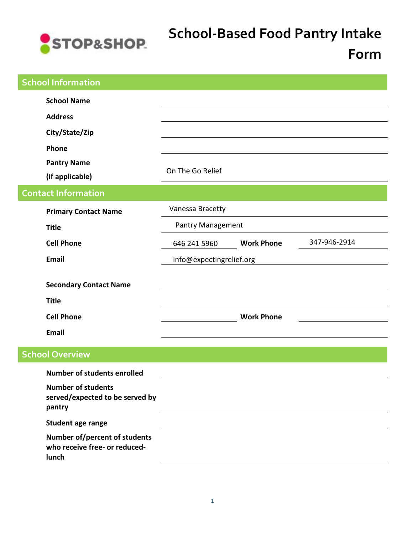

## **School-Based Food Pantry Intake**

## **Form**

| <b>School Information</b>                                                   |                          |                   |              |
|-----------------------------------------------------------------------------|--------------------------|-------------------|--------------|
| <b>School Name</b><br><b>Address</b><br>City/State/Zip                      |                          |                   |              |
| Phone<br><b>Pantry Name</b><br>(if applicable)                              | On The Go Relief         |                   |              |
| <b>Contact Information</b>                                                  |                          |                   |              |
| <b>Primary Contact Name</b>                                                 | Vanessa Bracetty         |                   |              |
| <b>Title</b>                                                                | <b>Pantry Management</b> |                   |              |
| <b>Cell Phone</b>                                                           | 646 241 5960             | <b>Work Phone</b> | 347-946-2914 |
| <b>Email</b>                                                                | info@expectingrelief.org |                   |              |
| <b>Secondary Contact Name</b><br><b>Title</b><br><b>Cell Phone</b><br>Email |                          | <b>Work Phone</b> |              |
|                                                                             |                          |                   |              |
| <b>School Overview</b>                                                      |                          |                   |              |
| <b>Number of students enrolled</b>                                          |                          |                   |              |
| <b>Number of students</b><br>served/expected to be served by<br>pantry      |                          |                   |              |
| Student age range                                                           |                          |                   |              |
| Number of/percent of students<br>who receive free- or reduced-<br>lunch     |                          |                   |              |